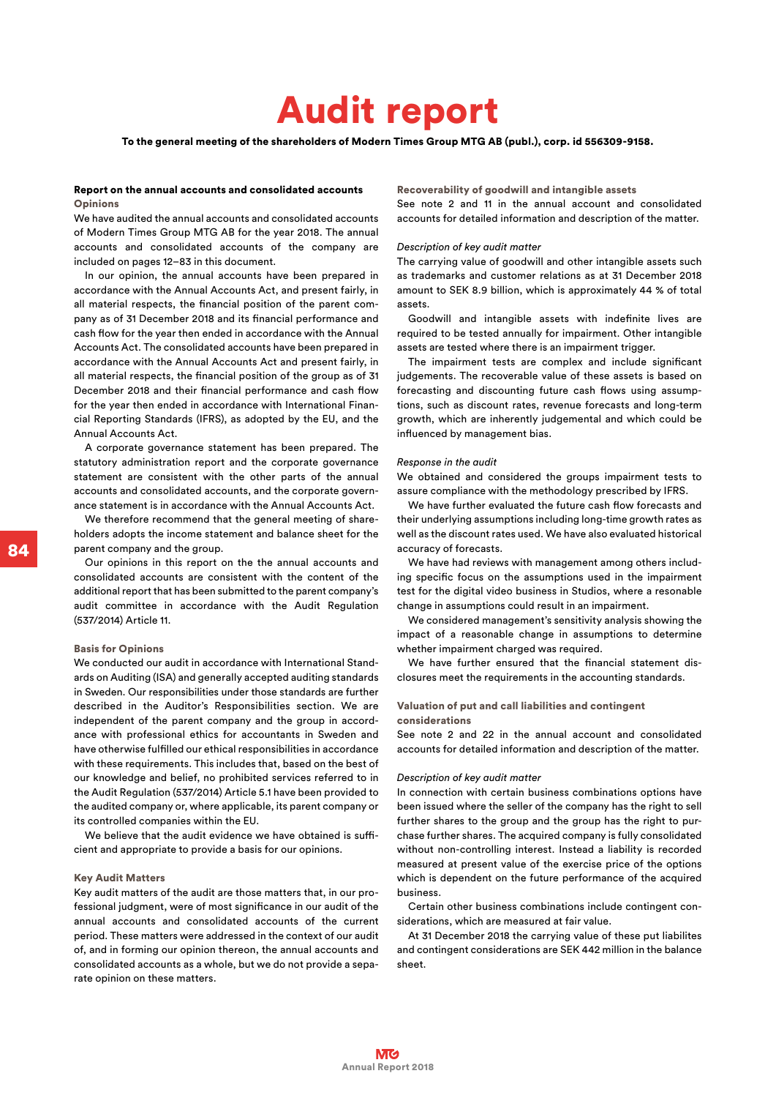# Audit report

To the general meeting of the shareholders of Modern Times Group MTG AB (publ.), corp. id 556309-9158.

## Report on the annual accounts and consolidated accounts **Opinions**

We have audited the annual accounts and consolidated accounts of Modern Times Group MTG AB for the year 2018. The annual accounts and consolidated accounts of the company are included on pages 12–83 in this document.

In our opinion, the annual accounts have been prepared in accordance with the Annual Accounts Act, and present fairly, in all material respects, the financial position of the parent company as of 31 December 2018 and its financial performance and cash flow for the year then ended in accordance with the Annual Accounts Act. The consolidated accounts have been prepared in accordance with the Annual Accounts Act and present fairly, in all material respects, the financial position of the group as of 31 December 2018 and their financial performance and cash flow for the year then ended in accordance with International Financial Reporting Standards (IFRS), as adopted by the EU, and the Annual Accounts Act.

A corporate governance statement has been prepared. The statutory administration report and the corporate governance statement are consistent with the other parts of the annual accounts and consolidated accounts, and the corporate governance statement is in accordance with the Annual Accounts Act.

We therefore recommend that the general meeting of shareholders adopts the income statement and balance sheet for the parent company and the group.

Our opinions in this report on the the annual accounts and consolidated accounts are consistent with the content of the additional report that has been submitted to the parent company's audit committee in accordance with the Audit Regulation (537/2014) Article 11.

### Basis for Opinions

We conducted our audit in accordance with International Standards on Auditing (ISA) and generally accepted auditing standards in Sweden. Our responsibilities under those standards are further described in the Auditor's Responsibilities section. We are independent of the parent company and the group in accordance with professional ethics for accountants in Sweden and have otherwise fulfilled our ethical responsibilities in accordance with these requirements. This includes that, based on the best of our knowledge and belief, no prohibited services referred to in the Audit Regulation (537/2014) Article 5.1 have been provided to the audited company or, where applicable, its parent company or its controlled companies within the EU.

We believe that the audit evidence we have obtained is sufficient and appropriate to provide a basis for our opinions.

#### Key Audit Matters

Key audit matters of the audit are those matters that, in our professional judgment, were of most significance in our audit of the annual accounts and consolidated accounts of the current period. These matters were addressed in the context of our audit of, and in forming our opinion thereon, the annual accounts and consolidated accounts as a whole, but we do not provide a separate opinion on these matters.

#### Recoverability of goodwill and intangible assets

See note 2 and 11 in the annual account and consolidated accounts for detailed information and description of the matter.

# *Description of key audit matter*

The carrying value of goodwill and other intangible assets such as trademarks and customer relations as at 31 December 2018 amount to SEK 8.9 billion, which is approximately 44 % of total assets.

Goodwill and intangible assets with indefinite lives are required to be tested annually for impairment. Other intangible assets are tested where there is an impairment trigger.

The impairment tests are complex and include significant judgements. The recoverable value of these assets is based on forecasting and discounting future cash flows using assumptions, such as discount rates, revenue forecasts and long-term growth, which are inherently judgemental and which could be influenced by management bias.

#### *Response in the audit*

We obtained and considered the groups impairment tests to assure compliance with the methodology prescribed by IFRS.

We have further evaluated the future cash flow forecasts and their underlying assumptions including long-time growth rates as well as the discount rates used. We have also evaluated historical accuracy of forecasts.

We have had reviews with management among others including specific focus on the assumptions used in the impairment test for the digital video business in Studios, where a resonable change in assumptions could result in an impairment.

We considered management's sensitivity analysis showing the impact of a reasonable change in assumptions to determine whether impairment charged was required.

We have further ensured that the financial statement disclosures meet the requirements in the accounting standards.

#### Valuation of put and call liabilities and contingent considerations

See note 2 and 22 in the annual account and consolidated accounts for detailed information and description of the matter.

#### *Description of key audit matter*

In connection with certain business combinations options have been issued where the seller of the company has the right to sell further shares to the group and the group has the right to purchase further shares. The acquired company is fully consolidated without non-controlling interest. Instead a liability is recorded measured at present value of the exercise price of the options which is dependent on the future performance of the acquired business.

Certain other business combinations include contingent considerations, which are measured at fair value.

At 31 December 2018 the carrying value of these put liabilites and contingent considerations are SEK 442 million in the balance sheet.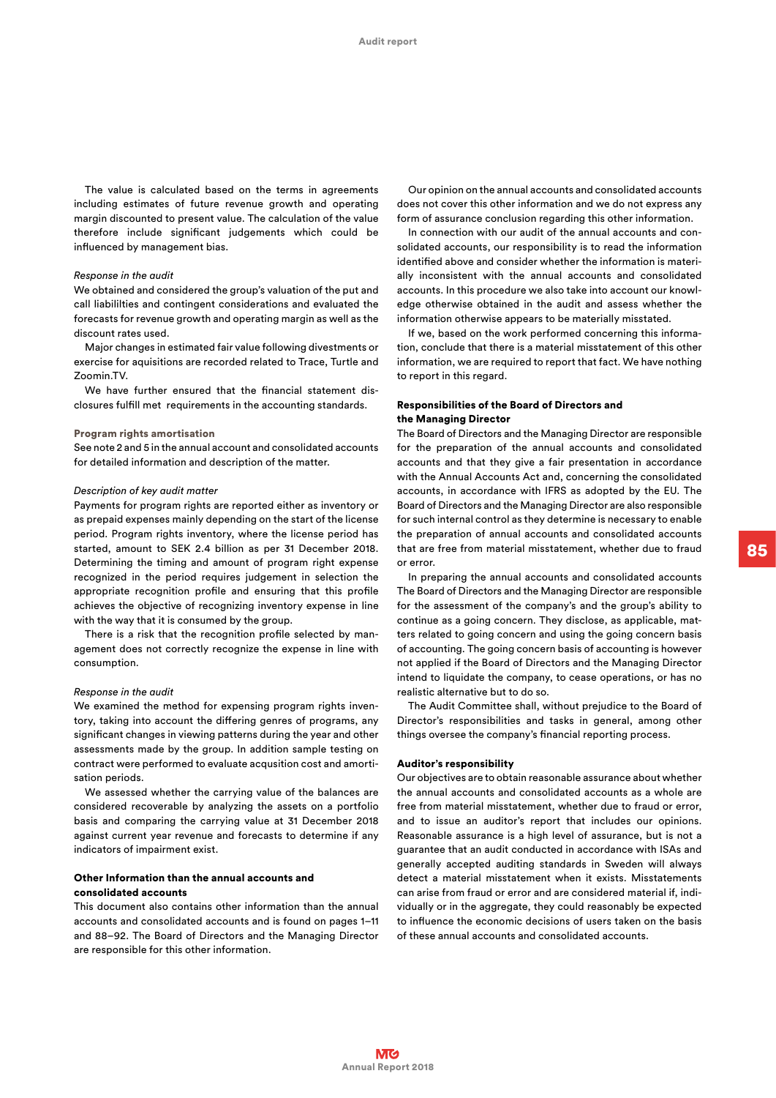The value is calculated based on the terms in agreements including estimates of future revenue growth and operating margin discounted to present value. The calculation of the value therefore include significant judgements which could be influenced by management bias.

#### *Response in the audit*

We obtained and considered the group's valuation of the put and call liabililties and contingent considerations and evaluated the forecasts for revenue growth and operating margin as well as the discount rates used.

Major changes in estimated fair value following divestments or exercise for aquisitions are recorded related to Trace, Turtle and Zoomin.TV.

We have further ensured that the financial statement disclosures fulfill met requirements in the accounting standards.

#### Program rights amortisation

See note 2 and 5 in the annual account and consolidated accounts for detailed information and description of the matter.

# *Description of key audit matter*

Payments for program rights are reported either as inventory or as prepaid expenses mainly depending on the start of the license period. Program rights inventory, where the license period has started, amount to SEK 2.4 billion as per 31 December 2018. Determining the timing and amount of program right expense recognized in the period requires judgement in selection the appropriate recognition profile and ensuring that this profile achieves the objective of recognizing inventory expense in line with the way that it is consumed by the group.

There is a risk that the recognition profile selected by management does not correctly recognize the expense in line with consumption.

#### *Response in the audit*

We examined the method for expensing program rights inventory, taking into account the differing genres of programs, any significant changes in viewing patterns during the year and other assessments made by the group. In addition sample testing on contract were performed to evaluate acqusition cost and amortisation periods.

We assessed whether the carrying value of the balances are considered recoverable by analyzing the assets on a portfolio basis and comparing the carrying value at 31 December 2018 against current year revenue and forecasts to determine if any indicators of impairment exist.

# Other Information than the annual accounts and consolidated accounts

This document also contains other information than the annual accounts and consolidated accounts and is found on pages 1–11 and 88–92. The Board of Directors and the Managing Director are responsible for this other information.

Our opinion on the annual accounts and consolidated accounts does not cover this other information and we do not express any form of assurance conclusion regarding this other information.

In connection with our audit of the annual accounts and consolidated accounts, our responsibility is to read the information identified above and consider whether the information is materially inconsistent with the annual accounts and consolidated accounts. In this procedure we also take into account our knowledge otherwise obtained in the audit and assess whether the information otherwise appears to be materially misstated.

If we, based on the work performed concerning this information, conclude that there is a material misstatement of this other information, we are required to report that fact. We have nothing to report in this regard.

# Responsibilities of the Board of Directors and the Managing Director

The Board of Directors and the Managing Director are responsible for the preparation of the annual accounts and consolidated accounts and that they give a fair presentation in accordance with the Annual Accounts Act and, concerning the consolidated accounts, in accordance with IFRS as adopted by the EU. The Board of Directors and the Managing Director are also responsible for such internal control as they determine is necessary to enable the preparation of annual accounts and consolidated accounts that are free from material misstatement, whether due to fraud or error.

In preparing the annual accounts and consolidated accounts The Board of Directors and the Managing Director are responsible for the assessment of the company's and the group's ability to continue as a going concern. They disclose, as applicable, matters related to going concern and using the going concern basis of accounting. The going concern basis of accounting is however not applied if the Board of Directors and the Managing Director intend to liquidate the company, to cease operations, or has no realistic alternative but to do so.

The Audit Committee shall, without prejudice to the Board of Director's responsibilities and tasks in general, among other things oversee the company's financial reporting process.

#### Auditor's responsibility

Our objectives are to obtain reasonable assurance about whether the annual accounts and consolidated accounts as a whole are free from material misstatement, whether due to fraud or error, and to issue an auditor's report that includes our opinions. Reasonable assurance is a high level of assurance, but is not a guarantee that an audit conducted in accordance with ISAs and generally accepted auditing standards in Sweden will always detect a material misstatement when it exists. Misstatements can arise from fraud or error and are considered material if, individually or in the aggregate, they could reasonably be expected to influence the economic decisions of users taken on the basis of these annual accounts and consolidated accounts.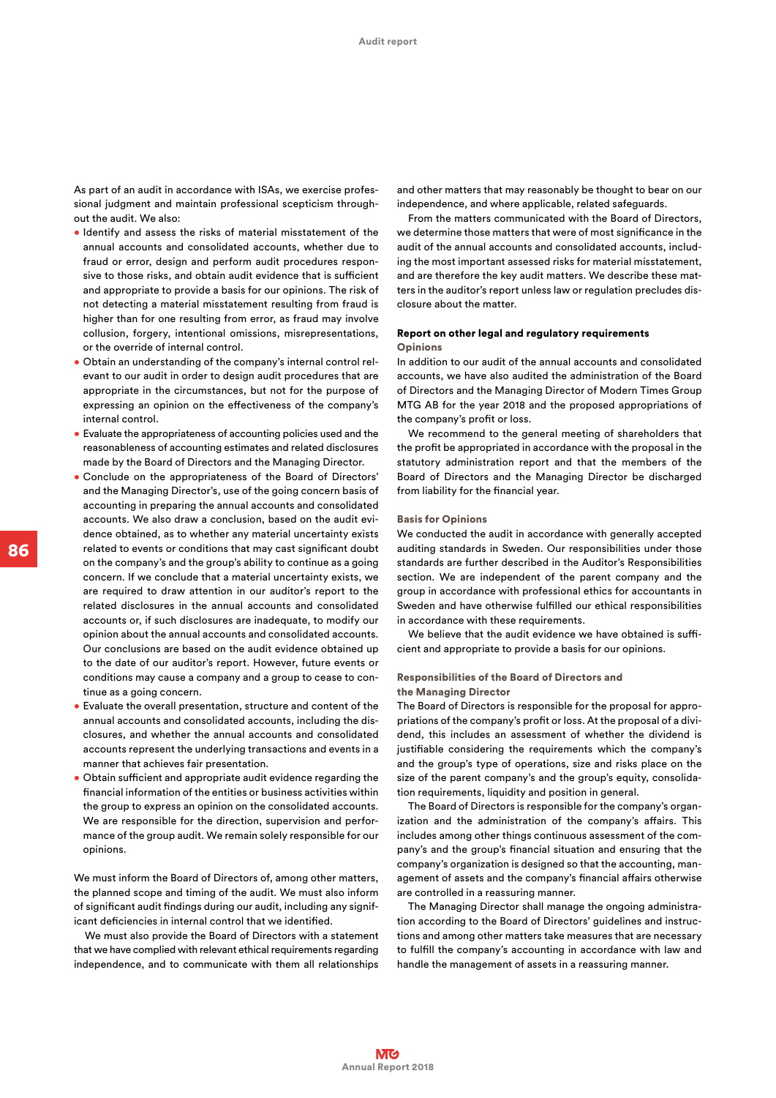As part of an audit in accordance with ISAs, we exercise professional judgment and maintain professional scepticism throughout the audit. We also:

- Identify and assess the risks of material misstatement of the annual accounts and consolidated accounts, whether due to fraud or error, design and perform audit procedures responsive to those risks, and obtain audit evidence that is sufficient and appropriate to provide a basis for our opinions. The risk of not detecting a material misstatement resulting from fraud is higher than for one resulting from error, as fraud may involve collusion, forgery, intentional omissions, misrepresentations, or the override of internal control.
- Obtain an understanding of the company's internal control relevant to our audit in order to design audit procedures that are appropriate in the circumstances, but not for the purpose of expressing an opinion on the effectiveness of the company's internal control.
- Evaluate the appropriateness of accounting policies used and the reasonableness of accounting estimates and related disclosures made by the Board of Directors and the Managing Director.
- Conclude on the appropriateness of the Board of Directors' and the Managing Director's, use of the going concern basis of accounting in preparing the annual accounts and consolidated accounts. We also draw a conclusion, based on the audit evidence obtained, as to whether any material uncertainty exists related to events or conditions that may cast significant doubt on the company's and the group's ability to continue as a going concern. If we conclude that a material uncertainty exists, we are required to draw attention in our auditor's report to the related disclosures in the annual accounts and consolidated accounts or, if such disclosures are inadequate, to modify our opinion about the annual accounts and consolidated accounts. Our conclusions are based on the audit evidence obtained up to the date of our auditor's report. However, future events or conditions may cause a company and a group to cease to continue as a going concern.
- Evaluate the overall presentation, structure and content of the annual accounts and consolidated accounts, including the disclosures, and whether the annual accounts and consolidated accounts represent the underlying transactions and events in a manner that achieves fair presentation.
- Obtain sufficient and appropriate audit evidence regarding the financial information of the entities or business activities within the group to express an opinion on the consolidated accounts. We are responsible for the direction, supervision and performance of the group audit. We remain solely responsible for our opinions.

We must inform the Board of Directors of, among other matters, the planned scope and timing of the audit. We must also inform of significant audit findings during our audit, including any significant deficiencies in internal control that we identified.

We must also provide the Board of Directors with a statement that we have complied with relevant ethical requirements regarding independence, and to communicate with them all relationships

and other matters that may reasonably be thought to bear on our independence, and where applicable, related safeguards.

From the matters communicated with the Board of Directors, we determine those matters that were of most significance in the audit of the annual accounts and consolidated accounts, including the most important assessed risks for material misstatement, and are therefore the key audit matters. We describe these matters in the auditor's report unless law or regulation precludes disclosure about the matter.

# Report on other legal and regulatory requirements **Opinions**

In addition to our audit of the annual accounts and consolidated accounts, we have also audited the administration of the Board of Directors and the Managing Director of Modern Times Group MTG AB for the year 2018 and the proposed appropriations of the company's profit or loss.

We recommend to the general meeting of shareholders that the profit be appropriated in accordance with the proposal in the statutory administration report and that the members of the Board of Directors and the Managing Director be discharged from liability for the financial year.

#### Basis for Opinions

We conducted the audit in accordance with generally accepted auditing standards in Sweden. Our responsibilities under those standards are further described in the Auditor's Responsibilities section. We are independent of the parent company and the group in accordance with professional ethics for accountants in Sweden and have otherwise fulfilled our ethical responsibilities in accordance with these requirements.

We believe that the audit evidence we have obtained is sufficient and appropriate to provide a basis for our opinions.

# Responsibilities of the Board of Directors and the Managing Director

The Board of Directors is responsible for the proposal for appropriations of the company's profit or loss. At the proposal of a dividend, this includes an assessment of whether the dividend is justifiable considering the requirements which the company's and the group's type of operations, size and risks place on the size of the parent company's and the group's equity, consolidation requirements, liquidity and position in general.

The Board of Directors is responsible for the company's organization and the administration of the company's affairs. This includes among other things continuous assessment of the company's and the group's financial situation and ensuring that the company's organization is designed so that the accounting, management of assets and the company's financial affairs otherwise are controlled in a reassuring manner.

The Managing Director shall manage the ongoing administration according to the Board of Directors' guidelines and instructions and among other matters take measures that are necessary to fulfill the company's accounting in accordance with law and handle the management of assets in a reassuring manner.